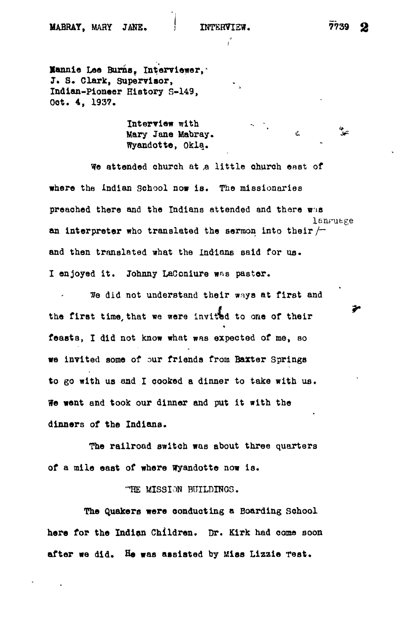i

**Xannie Loo Burns? Interviewer, J. S. Clark, Supervisor, Indian-pioneer History S-149, Oot. 4, 1937.**

> **Interview with**  $\begin{array}{ccc}\n\bullet & \bullet & \bullet \\
> \bullet & \bullet & \bullet\n\end{array}$ **Mary Jane Mabray.**  $\qquad \qquad \&$ <br>**Whenever, Okla.**

 $\frac{1}{\lambda}$ 

**preached there and the Indians attended and there was** an interpreter who translated the sermon into their  $/$ and then translated what the Indians said for us.

the first time that we were invited to one of their **the first time, that we were invited to one of their feasts, I did not know what was expected of me, so we invited some of our friends from Baxter Springs** We went and took our dinner and put it with the dinners of the Indiana.

The railroad switch was about three quarters of a mile east of where Wyandotte now is.

"HE MISSION BUILDINGS.

The Quakers were conducting a Boarding School here for the Indian Children. Dr. Kirk had come soon after we did. He was assisted by Miss Lizzie Test.

≫